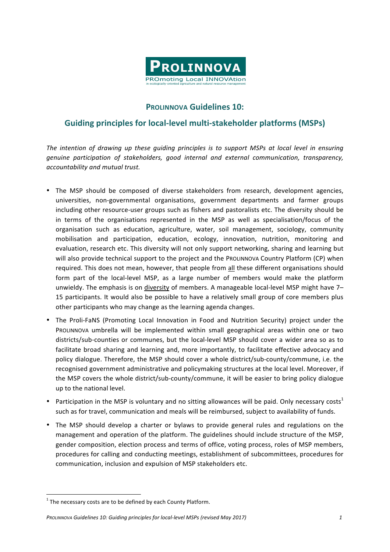

## **PROLINNOVA Guidelines 10:**

## **Guiding principles for local-level multi-stakeholder platforms (MSPs)**

*The intention of drawing up these guiding principles is to support MSPs at local level in ensuring genuine participation of stakeholders, good internal and external communication, transparency, accountability and mutual trust.*

- The MSP should be composed of diverse stakeholders from research, development agencies, universities, non-governmental organisations, government departments and farmer groups including other resource-user groups such as fishers and pastoralists etc. The diversity should be in terms of the organisations represented in the MSP as well as specialisation/focus of the organisation such as education, agriculture, water, soil management, sociology, community mobilisation and participation, education, ecology, innovation, nutrition, monitoring and evaluation, research etc. This diversity will not only support networking, sharing and learning but will also provide technical support to the project and the PROLINNOVA Country Platform (CP) when required. This does not mean, however, that people from all these different organisations should form part of the local-level MSP, as a large number of members would make the platform unwieldy. The emphasis is on diversity of members. A manageable local-level MSP might have  $7-$ 15 participants. It would also be possible to have a relatively small group of core members plus other participants who may change as the learning agenda changes.
- The Proli-FaNS (Promoting Local Innovation in Food and Nutrition Security) project under the PROLINNOVA umbrella will be implemented within small geographical areas within one or two districts/sub-counties or communes, but the local-level MSP should cover a wider area so as to facilitate broad sharing and learning and, more importantly, to facilitate effective advocacy and policy dialogue. Therefore, the MSP should cover a whole district/sub-county/commune, i.e. the recognised government administrative and policymaking structures at the local level. Moreover, if the MSP covers the whole district/sub-county/commune, it will be easier to bring policy dialogue up to the national level.
- Participation in the MSP is voluntary and no sitting allowances will be paid. Only necessary costs<sup>1</sup> such as for travel, communication and meals will be reimbursed, subject to availability of funds.
- The MSP should develop a charter or bylaws to provide general rules and regulations on the management and operation of the platform. The guidelines should include structure of the MSP, gender composition, election process and terms of office, voting process, roles of MSP members, procedures for calling and conducting meetings, establishment of subcommittees, procedures for communication, inclusion and expulsion of MSP stakeholders etc.

<u> 1989 - Johann Stein, mars et al. 1989 - Anna ann an t-Anna ann an t-Anna ann an t-Anna ann an t-Anna ann an t-</u>

 $1$  The necessary costs are to be defined by each County Platform.